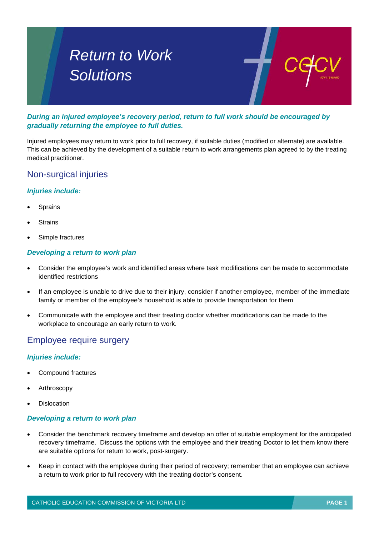# *Return to Work Solutions*

*During an injured employee's recovery period, return to full work should be encouraged by gradually returning the employee to full duties.* 

Injured employees may return to work prior to full recovery, if suitable duties (modified or alternate) are available. This can be achieved by the development of a suitable return to work arrangements plan agreed to by the treating medical practitioner.

## Non-surgical injuries

#### *Injuries include:*

- **Sprains**
- **Strains**
- Simple fractures

#### *Developing a return to work plan*

- Consider the employee's work and identified areas where task modifications can be made to accommodate identified restrictions
- If an employee is unable to drive due to their injury, consider if another employee, member of the immediate family or member of the employee's household is able to provide transportation for them
- Communicate with the employee and their treating doctor whether modifications can be made to the workplace to encourage an early return to work.

## Employee require surgery

#### *Injuries include:*

- Compound fractures
- **Arthroscopy**
- **Dislocation**

#### *Developing a return to work plan*

- Consider the benchmark recovery timeframe and develop an offer of suitable employment for the anticipated recovery timeframe. Discuss the options with the employee and their treating Doctor to let them know there are suitable options for return to work, post-surgery.
- Keep in contact with the employee during their period of recovery; remember that an employee can achieve a return to work prior to full recovery with the treating doctor's consent.